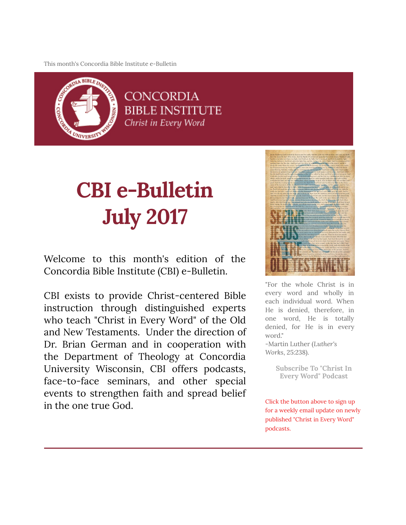This month's Concordia Bible Institute e-Bulletin



**CONCORDIA BIBLE INSTITUTE** Christ in Every Word

# CBI e-Bulletin July 2017

Welcome to this month's edition of the Concordia Bible Institute (CBI) e-Bulletin.

CBI exists to provide Christ-centered Bible instruction through distinguished experts who teach "Christ in Every Word" of the Old and New Testaments. Under the direction of Dr. Brian German and in cooperation with the Department of Theology at Concordia University Wisconsin, CBI offers podcasts, face-to-face seminars, and other special events to strengthen faith and spread belief in the one true God.



"For the whole Christ is in every word and wholly in each individual word. When He is denied, therefore, in one word, He is totally denied, for He is in every word"

-Martin Luther (Luther's Works, 25:238).

> [Subscribe To "Christ In](http://subscribebyemail.com/www.concordiabible.org/feed/podcast/) Every Word" Podcast

Click the button above to sign up for a weekly email update on newly published "Christ in Every Word" podcasts.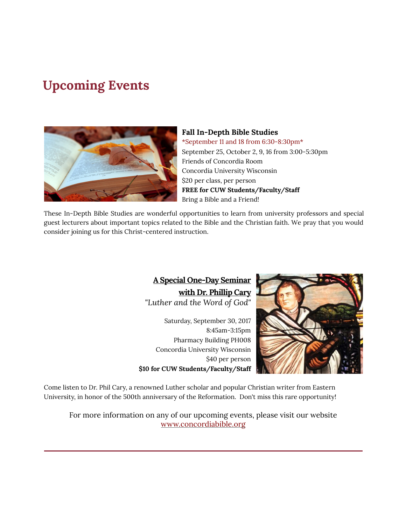## Upcoming Events



September 25, October 2, 9, 16 from 3:00-5:30pm Friends of Concordia Room Concordia University Wisconsin \$20 per class, per person FREE for CUW Students/Faculty/Staff Bring a Bible and a Friend! Fall In-Depth Bible Studies \*September 11 and 18 from 6:30-8:30pm\*

These In-Depth Bible Studies are wonderful opportunities to learn from university professors and special guest lecturers about important topics related to the Bible and the Christian faith. We pray that you would consider joining us for this Christ-centered instruction.

> A Special One-Day Seminar with Dr. Phillip Cary "Luther and the Word of God"

Saturday, September 30, 2017 8:45am-3:15pm Pharmacy Building PH008 Concordia University Wisconsin \$40 per person \$10 for CUW Students/Faculty/Staff



Come listen to Dr. Phil Cary, a renowned Luther scholar and popular Christian writer from Eastern University, in honor of the 500th anniversary of the Reformation. Don't miss this rare opportunity!

For more information on any of our upcoming events, please visit our website [www.concordiabible.org](http://www.concordiabible.org/events/)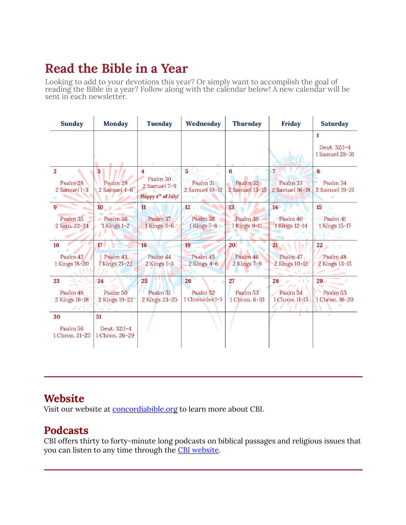## Read the Bible in a Year

Looking to add to your devotions this year? Or simply want to accomplish the goal of reading the Bible in a year? Follow along with the calendar below! A new calendar will be sent in each newsletter.

| <b>Sunday</b>                               | <b>Monday</b>                                       | <b>Tuesday</b>                                                                        | Wednesday                                             | <b>Thursday</b>                            | Friday                                       | <b>Saturday</b>                                |
|---------------------------------------------|-----------------------------------------------------|---------------------------------------------------------------------------------------|-------------------------------------------------------|--------------------------------------------|----------------------------------------------|------------------------------------------------|
|                                             |                                                     |                                                                                       |                                                       |                                            |                                              | $\mathbf{1}$<br>Deut. 32:1-4<br>1 Samuel 28-31 |
| $\overline{2}$<br>Psalm 28<br>2 Samuel 1-3  | 3<br>Psalm 29<br>$2$ Samuel $4-6$                   | $\overline{\mathbf{4}}$<br>Psalm 30<br>2 Samuel 7-9<br>Happy 4 <sup>th</sup> of July! | $\overline{\mathbf{5}}$<br>Psalm 31<br>2 Samuel 10-12 | 6<br>Psalm 32<br>2 Samuel 13-15            | $\overline{7}$<br>Psalm 33<br>2 Samuel 16-18 | 8<br>Psalm 34<br>2 Samuel 19-21                |
| $\mathbf{9}$<br>Psalm 35<br>2 Sam. 22-24    | 10<br>Psalm 36<br>1 Kings 1-2                       | 11<br>Psalm 37<br>1 Kings 3-6                                                         | 12<br>Psalm 38<br>1 Kings 7-8                         | 13<br>Psalm 39<br>I Kings 9-11             | 14<br>Psalm 40<br>1 Kings 12-14              | 15<br>Psalm 41<br>1 Kings 15-17                |
| 16<br>Psalm 42<br>1 Kings 18-20             | 17 <sup>7</sup><br>Psalm 43<br><b>I Kings 21-22</b> | 18<br>Psalm 44<br>$2$ Kings $1-3$                                                     | 19<br>Psalm <sub>45</sub><br>$2$ Kings $4-6$          | 20<br>Psalm 46<br>2 Kings 7-9              | 21<br>Psalm <sub>47</sub><br>2 Kings 10-12   | 22<br>Psalm <sub>48</sub><br>2 Kings 13-15     |
| 23<br>Psalm 49<br>2 Kings 16-18             | 24<br>Psalm <sub>50</sub><br>2 Kings 19-22          | 25<br>Psalm <sub>51</sub><br>2 Kings 23-25                                            | 26<br>Psalm <sub>52</sub><br>1 Chronicles 1-5         | 27<br>Psalm <sub>53</sub><br>1 Chron. 6-10 | 28<br>Psalm <sub>54</sub><br>1 Chron. 11-15  | 29<br>Psalm <sub>55</sub><br>1 Chron. 16-20    |
| 30<br>Psalm <sub>56</sub><br>1 Chron. 21-25 | 31<br>Deut. 32:1-4<br>1 Chron. 26-29                |                                                                                       |                                                       |                                            |                                              |                                                |

#### **Website**

Visit our website at [concordiabible.org](http://www.concordiabible.org/) to learn more about CBI.

#### Podcasts

CBI offers thirty to forty-minute long podcasts on biblical passages and religious issues that you can listen to any time through the [CBI website](http://www.concordiabible.org/category/podcasts/).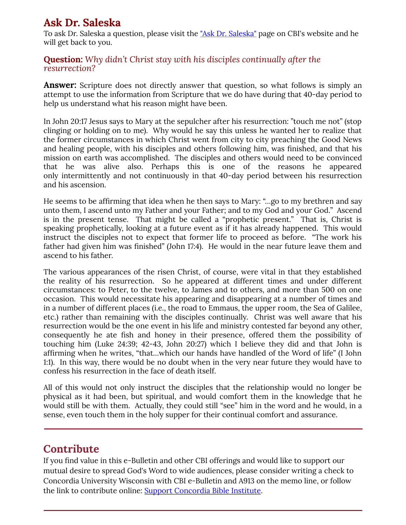### Ask Dr. Saleska

To ask Dr. Saleska a question, please visit the "Ask Dr. Saleska" page on CBI's website and he will get back to you.

#### **Question:** Why didn't Christ stay with his disciples continually after the resurrection?

**Answer:** Scripture does not directly answer that question, so what follows is simply an attempt to use the information from Scripture that we do have during that 40-day period to help us understand what his reason might have been.

In John 20:17 Jesus says to Mary at the sepulcher after his resurrection: "touch me not" (stop clinging or holding on to me). Why would he say this unless he wanted her to realize that the former circumstances in which Christ went from city to city preaching the Good News and healing people, with his disciples and others following him, was finished, and that his mission on earth was accomplished. The disciples and others would need to be convinced that he was alive also. Perhaps this is one of the reasons he appeared only intermittently and not continuously in that 40-day period between his resurrection and his ascension.

He seems to be affirming that idea when he then says to Mary: "...go to my brethren and say unto them, I ascend unto my Father and your Father; and to my God and your God." Ascend is in the present tense. That might be called a "prophetic present." That is, Christ is speaking prophetically, looking at a future event as if it has already happened. This would instruct the disciples not to expect that former life to proceed as before. "The work his father had given him was finished" (John 17:4). He would in the near future leave them and ascend to his father.

The various appearances of the risen Christ, of course, were vital in that they established the reality of his resurrection. So he appeared at different times and under different circumstances: to Peter, to the twelve, to James and to others, and more than 500 on one occasion. This would necessitate his appearing and disappearing at a number of times and in a number of different places (i.e., the road to Emmaus, the upper room, the Sea of Galilee, etc.) rather than remaining with the disciples continually. Christ was well aware that his resurrection would be the one event in his life and ministry contested far beyond any other, consequently he ate fish and honey in their presence, offered them the possibility of touching him (Luke 24:39; 42-43, John 20:27) which I believe they did and that John is affirming when he writes, "that...which our hands have handled of the Word of life" (I John 1:1). In this way, there would be no doubt when in the very near future they would have to confess his resurrection in the face of death itself.

All of this would not only instruct the disciples that the relationship would no longer be physical as it had been, but spiritual, and would comfort them in the knowledge that he would still be with them. Actually, they could still "see" him in the word and he would, in a sense, even touch them in the holy supper for their continual comfort and assurance.

#### **Contribute**

If you find value in this e-Bulletin and other CBI offerings and would like to support our mutual desire to spread God's Word to wide audiences, please consider writing a check to Concordia University Wisconsin with CBI e-Bulletin and A913 on the memo line, or follow the link to contribute online: **Support Concordia Bible Institute**.